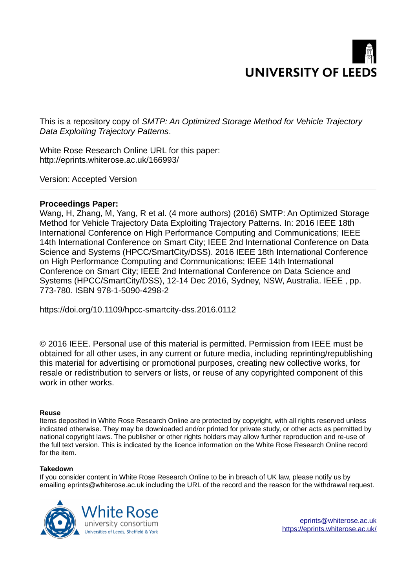# **UNIVERSITY OF LEED**

This is a repository copy of *SMTP: An Optimized Storage Method for Vehicle Trajectory Data Exploiting Trajectory Patterns*.

White Rose Research Online URL for this paper: http://eprints.whiterose.ac.uk/166993/

Version: Accepted Version

# **Proceedings Paper:**

Wang, H, Zhang, M, Yang, R et al. (4 more authors) (2016) SMTP: An Optimized Storage Method for Vehicle Trajectory Data Exploiting Trajectory Patterns. In: 2016 IEEE 18th International Conference on High Performance Computing and Communications; IEEE 14th International Conference on Smart City; IEEE 2nd International Conference on Data Science and Systems (HPCC/SmartCity/DSS). 2016 IEEE 18th International Conference on High Performance Computing and Communications; IEEE 14th International Conference on Smart City; IEEE 2nd International Conference on Data Science and Systems (HPCC/SmartCity/DSS), 12-14 Dec 2016, Sydney, NSW, Australia. IEEE , pp. 773-780. ISBN 978-1-5090-4298-2

https://doi.org/10.1109/hpcc-smartcity-dss.2016.0112

© 2016 IEEE. Personal use of this material is permitted. Permission from IEEE must be obtained for all other uses, in any current or future media, including reprinting/republishing this material for advertising or promotional purposes, creating new collective works, for resale or redistribution to servers or lists, or reuse of any copyrighted component of this work in other works.

## **Reuse**

Items deposited in White Rose Research Online are protected by copyright, with all rights reserved unless indicated otherwise. They may be downloaded and/or printed for private study, or other acts as permitted by national copyright laws. The publisher or other rights holders may allow further reproduction and re-use of the full text version. This is indicated by the licence information on the White Rose Research Online record for the item.

## **Takedown**

If you consider content in White Rose Research Online to be in breach of UK law, please notify us by emailing eprints@whiterose.ac.uk including the URL of the record and the reason for the withdrawal request.

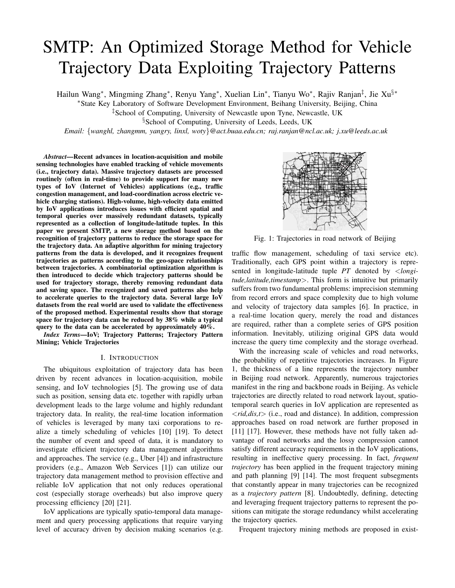# SMTP: An Optimized Storage Method for Vehicle Trajectory Data Exploiting Trajectory Patterns

Hailun Wang\*, Mingming Zhang\*, Renyu Yang\*, Xuelian Lin\*, Tianyu Wo\*, Rajiv Ranjan<sup>‡</sup>, Jie Xu<sup>§∗</sup>

<sup>∗</sup>State Key Laboratory of Software Development Environment, Beihang University, Beijing, China

‡School of Computing, University of Newcastle upon Tyne, Newcastle, UK

<sup>§</sup>School of Computing, University of Leeds, Leeds, UK

*Email:* {*wanghl, zhangmm, yangry, linxl, woty*}*@act.buaa.edu.cn; raj.ranjan@ncl.ac.uk; j.xu@leeds.ac.uk*

*Abstract*—Recent advances in location-acquisition and mobile sensing technologies have enabled tracking of vehicle movements (i.e., trajectory data). Massive trajectory datasets are processed routinely (often in real-time) to provide support for many new types of IoV (Internet of Vehicles) applications (e.g., traffic congestion management, and load-coordination across electric vehicle charging stations). High-volume, high-velocity data emitted by IoV applications introduces issues with efficient spatial and temporal queries over massively redundant datasets, typically represented as a collection of longitude-latitude tuples. In this paper we present SMTP, a new storage method based on the recognition of trajectory patterns to reduce the storage space for the trajectory data. An adaptive algorithm for mining trajectory patterns from the data is developed, and it recognizes frequent trajectories as patterns according to the geo-space relationships between trajectories. A combinatorial optimization algorithm is then introduced to decide which trajectory patterns should be used for trajectory storage, thereby removing redundant data and saving space. The recognized and saved patterns also help to accelerate queries to the trajectory data. Several large IoV datasets from the real world are used to validate the effectiveness of the proposed method. Experimental results show that storage space for trajectory data can be reduced by 38% while a typical query to the data can be accelerated by approximately 40%.

*Index Terms*—IoV; Trajectory Patterns; Trajectory Pattern Mining; Vehicle Trajectories

#### I. INTRODUCTION

The ubiquitous exploitation of trajectory data has been driven by recent advances in location-acquisition, mobile sensing, and IoV technologies [5]. The growing use of data such as position, sensing data etc. together with rapidly urban development leads to the large volume and highly redundant trajectory data. In reality, the real-time location information of vehicles is leveraged by many taxi corporations to realize a timely scheduling of vehicles [10] [19]. To detect the number of event and speed of data, it is mandatory to investigate efficient trajectory data management algorithms and approaches. The service (e.g., Uber [4]) and infrastructure providers (e.g., Amazon Web Services [1]) can utilize our trajectory data management method to provision effective and reliable IoV application that not only reduces operational cost (especially storage overheads) but also improve query processing efficiency [20] [21].

IoV applications are typically spatio-temporal data management and query processing applications that require varying level of accuracy driven by decision making scenarios (e.g.



Fig. 1: Trajectories in road network of Beijing

traffic flow management, scheduling of taxi service etc). Traditionally, each GPS point within a trajectory is represented in longitude-latitude tuple *PT* denoted by <*longitude,latitude,timestamp*>. This form is intuitive but primarily suffers from two fundamental problems: imprecision stemming from record errors and space complexity due to high volume and velocity of trajectory data samples [6]. In practice, in a real-time location query, merely the road and distances are required, rather than a complete series of GPS position information. Inevitably, utilizing original GPS data would increase the query time complexity and the storage overhead.

With the increasing scale of vehicles and road networks, the probability of repetitive trajectories increases. In Figure 1, the thickness of a line represents the trajectory number in Beijing road network. Apparently, numerous trajectories manifest in the ring and backbone roads in Beijing. As vehicle trajectories are directly related to road network layout, spatiotemporal search queries in IoV application are represented as <*rid,dis,t*> (i.e., road and distance). In addition, compression approaches based on road network are further proposed in [11] [17]. However, these methods have not fully taken advantage of road networks and the lossy compression cannot satisfy different accuracy requirements in the IoV applications, resulting in ineffective query processing. In fact, *frequent trajectory* has been applied in the frequent trajectory mining and path planning [9] [14]. The most frequent subsegments that constantly appear in many trajectories can be recognized as a *trajectory pattern* [8]. Undoubtedly, defining, detecting and leveraging frequent trajectory patterns to represent the positions can mitigate the storage redundancy whilst accelerating the trajectory queries.

Frequent trajectory mining methods are proposed in exist-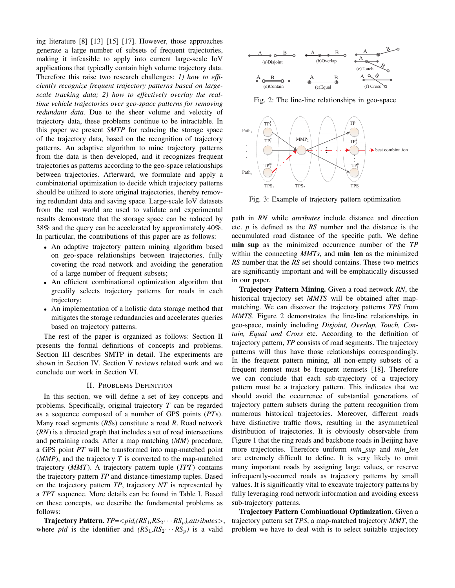ing literature [8] [13] [15] [17]. However, those approaches generate a large number of subsets of frequent trajectories, making it infeasible to apply into current large-scale IoV applications that typically contain high volume trajectory data. Therefore this raise two research challenges: *1) how to efficiently recognize frequent trajectory patterns based on largescale tracking data; 2) how to effectively overlay the realtime vehicle trajectories over geo-space patterns for removing redundant data.* Due to the sheer volume and velocity of trajectory data, these problems continue to be intractable. In this paper we present *SMTP* for reducing the storage space of the trajectory data, based on the recognition of trajectory patterns. An adaptive algorithm to mine trajectory patterns from the data is then developed, and it recognizes frequent trajectories as patterns according to the geo-space relationships between trajectories. Afterward, we formulate and apply a combinatorial optimization to decide which trajectory patterns should be utilized to store original trajectories, thereby removing redundant data and saving space. Large-scale IoV datasets from the real world are used to validate and experimental results demonstrate that the storage space can be reduced by 38% and the query can be accelerated by approximately 40%. In particular, the contributions of this paper are as follows:

- An adaptive trajectory pattern mining algorithm based on geo-space relationships between trajectories, fully covering the road network and avoiding the generation of a large number of frequent subsets;
- An efficient combinational optimization algorithm that greedily selects trajectory patterns for roads in each trajectory;
- An implementation of a holistic data storage method that mitigates the storage redundancies and accelerates queries based on trajectory patterns.

The rest of the paper is organized as follows: Section II presents the formal definitions of concepts and problems. Section III describes SMTP in detail. The experiments are shown in Section IV. Section V reviews related work and we conclude our work in Section VI.

#### II. PROBLEMS DEFINITION

In this section, we will define a set of key concepts and problems. Specifically, original trajectory *T* can be regarded as a sequence composed of a number of GPS points (*PT*s). Many road segments (*RS*s) constitute a road *R*. Road network (*RN*) is a directed graph that includes a set of road intersections and pertaining roads. After a map matching (*MM*) procedure, a GPS point *PT* will be transformed into map-matched point (*MMP*), and the trajectory *T* is converted to the map-matched trajectory (*MMT*). A trajectory pattern tuple (*TPT*) contains the trajectory pattern *TP* and distance-timestamp tuples. Based on the trajectory pattern *TP*, trajectory *NT* is represented by a *TPT* sequence. More details can be found in Table I. Based on these concepts, we describe the fundamental problems as follows:

**Trajectory Pattern.**  $TP = \langle pid, (RS_1, RS_2 \cdots RS_n), attributes \rangle$ , where *pid* is the identifier and  $(RS_1, RS_2 \cdots RS_p)$  is a valid



Fig. 2: The line-line relationships in geo-space



Fig. 3: Example of trajectory pattern optimization

path in *RN* while *attributes* include distance and direction etc. *p* is defined as the *RS* number and the distance is the accumulated road distance of the specific path. We define min sup as the minimized occurrence number of the *TP* within the connecting *MMTs*, and **min\_len** as the minimized *RS* number that the *RS* set should contains. These two metrics are significantly important and will be emphatically discussed in our paper.

Trajectory Pattern Mining. Given a road network *RN*, the historical trajectory set *MMTS* will be obtained after mapmatching. We can discover the trajectory patterns *TPS* from *MMTS*. Figure 2 demonstrates the line-line relationships in geo-space, mainly including *Disjoint, Overlap, Touch, Contain, Equal and Cross* etc. According to the definition of trajectory pattern, *TP* consists of road segments. The trajectory patterns will thus have those relationships correspondingly. In the frequent pattern mining, all non-empty subsets of a frequent itemset must be frequent itemsets [18]. Therefore we can conclude that each sub-trajectory of a trajectory pattern must be a trajectory pattern. This indicates that we should avoid the occurrence of substantial generations of trajectory pattern subsets during the pattern recognition from numerous historical trajectories. Moreover, different roads have distinctive traffic flows, resulting in the asymmetrical distribution of trajectories. It is obviously observable from Figure 1 that the ring roads and backbone roads in Beijing have more trajectories. Therefore uniform *min sup* and *min len* are extremely difficult to define. It is very likely to omit many important roads by assigning large values, or reserve infrequently-occurred roads as trajectory patterns by small values. It is significantly vital to excavate trajectory patterns by fully leveraging road network information and avoiding excess sub-trajectory patterns.

Trajectory Pattern Combinational Optimization. Given a trajectory pattern set *TPS*, a map-matched trajectory *MMT*, the problem we have to deal with is to select suitable trajectory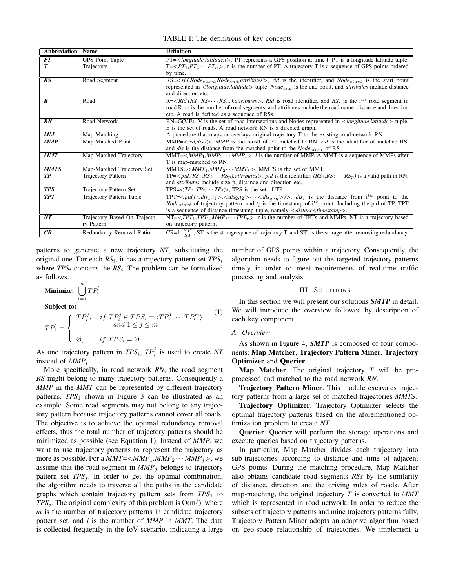TABLE I: The definitions of key concepts

| <b>Abbreviation</b>         | <b>Name</b>                   | <b>Definition</b>                                                                                                                                                                                    |
|-----------------------------|-------------------------------|------------------------------------------------------------------------------------------------------------------------------------------------------------------------------------------------------|
| PT                          | <b>GPS</b> Point Tuple        | $PT = \langle longitude, latitude, t \rangle$ . PT represents a GPS position at time t. PT is a longitude-latitude tuple.                                                                            |
| $\overline{\boldsymbol{T}}$ | Trajectory                    | $T = \langle PT_1, PT_2 \cdots PT_n \rangle$ , n is the number of PT. A trajectory T is a sequence of GPS points ordered                                                                             |
|                             |                               | by time.                                                                                                                                                                                             |
| <b>RS</b>                   | Road Segment                  | $RS = \langle r \cdot id, N \cdot old \rangle_{\text{start}}$ , $N \cdot old \cdot \text{start}$ , $N \cdot old \cdot \text{start}$ is the identifier, and $N \cdot \text{start}$ is the start point |
|                             |                               | represented in $\langle$ longitude,latitude $\rangle$ tuple. Node <sub>end</sub> is the end point, and attributes include distance<br>and direction etc.                                             |
| $\boldsymbol{R}$            | Road                          | $R = \langle Rid, (RS_1, RS_2 \cdots RS_m),$ attributes >, Rid is road identifier, and $RS_i$ is the i <sup>th</sup> road segment in                                                                 |
|                             |                               | road R. m is the number of road segments, and attributes include the road name, distance and direction                                                                                               |
|                             |                               | etc. A road is defined as a sequence of RSs.                                                                                                                                                         |
| $\overline{RN}$             | Road Network                  | $RN = G(V,E)$ . V is the set of road intersections and Nodes represented in $\langle \text{longitude}\rangle$ tuple.                                                                                 |
|                             |                               | E is the set of roads. A road network RN is a directed graph.                                                                                                                                        |
| $\overline{MM}$             | Map Matching                  | A procedure that maps or overlays original trajectory T to the existing road network RN.                                                                                                             |
| <b>MMP</b>                  | Map-Matched Point             | $MMP = \langle r \cdot id, \text{dist} \rangle$ . MMP is the reuslt of PT matched to RN, rid is the identifier of matched RS,                                                                        |
|                             |                               | and <i>dis</i> is the distance from the matched point to the <i>Node</i> <sub>start</sub> of RS.                                                                                                     |
| <b>MMT</b>                  | Map-Matched Trajectory        | $MMT=, l is the number of MMP. A MMT is a sequence of MMPs after$                                                                                                                                    |
|                             |                               | T is map-matched to RN.                                                                                                                                                                              |
| <b>MMTS</b>                 | Map-Matched Trajectory Set    | $MMTS = \langle MMT_1, MMT_2 \cdots MMT_s \rangle$ , MMTS is the set of MMT.                                                                                                                         |
| <b>TP</b>                   | <b>Trajectory Pattern</b>     | $TP = \langle pid(RS_1, RS_2 \cdots RS_n)$ , attributes > . pid is the identifier, $(RS_1, RS_2 \cdots RS_n)$ is a valid path in RN,                                                                 |
|                             |                               | and <i>attributes</i> include size p, distance and direction etc.                                                                                                                                    |
| <b>TPS</b>                  | Trajectory Pattern Set        | TPS= $\langle TP_1, TP_2 \cdots TP_t \rangle$ , TPS is the set of TP.                                                                                                                                |
| <b>TPT</b>                  | Trajectory Pattern Tuple      | TPT= $\langle pid, (\langle dis_1, t_1 \rangle, \langle dis_2, t_2 \rangle) \cdots \langle dis_q, t_q \rangle) \rangle$ . $dis_i$ is the distance from $i^{th}$ point to the                         |
|                             |                               | <i>Node</i> <sub>start</sub> of trajectory pattern, and $t_i$ is the timestamp of i <sup>th</sup> point. Including the pid of TP, TPT                                                                |
|                             |                               | is a sequence of distance-timestamp tuple, namely $\langle distance, timestamp \rangle$ .                                                                                                            |
| NT                          | Trajectory Based On Trajecto- | $NT = \langle TPT_1, TPT_2, MMP_1 \cdots TPT_T \rangle$ . r is the number of TPTs and MMPs. NT is a trajectory based                                                                                 |
|                             | ry Pattern                    | on trajectory pattern.                                                                                                                                                                               |
| CR                          | Redundancy Removal Ratio      | CR=1- $\frac{ST'}{ST}$ , ST is the storage space of trajectory T, and ST' is the storage after removing redundancy.                                                                                  |

patterns to generate a new trajectory *NT*, substituting the original one. For each  $RS_i$ , it has a trajectory pattern set  $TPS_i$ where  $TPS_i$  contains the  $RS_i$ . The problem can be formalized as follows:

Minimize: 
$$
\bigcup_{i=1}^{n} TP_i'
$$
  
\nSubject to:  
\n
$$
TP_i' = \begin{cases} TP_i^j, & if TP_i^j \in TPS_i = \langle TP_i^1, \cdots TP_i^m \rangle \\ & and 1 \leq j \leq m \end{cases}
$$
\n
$$
TP_i' = \begin{cases} TP_i^j, & if TPS_i = \emptyset \\ \emptyset, & if TPS_i = \emptyset \end{cases}
$$
\n(1)

As one trajectory pattern in  $TPS_i$ ,  $TP_i^j$  is used to create NT instead of  $MMP_i$ .

More specifically, in road network *RN*, the road segment *RS* might belong to many trajectory patterns. Consequently a *MMP* in the *MMT* can be represented by different trajectory patterns. *TPS*<sub>1</sub> shown in Figure 3 can be illustrated as an example. Some road segments may not belong to any trajectory pattern because trajectory patterns cannot cover all roads. The objective is to achieve the optimal redundancy removal effects, thus the total number of trajectory patterns should be minimized as possible (see Equation 1). Instead of *MMP*, we want to use trajectory patterns to represent the trajectory as more as possible. For a  $MMT = \langle MMP_1, MMP_2 \cdots MMP_i \rangle$ , we assume that the road segment in  $MMP<sub>j</sub>$  belongs to trajectory pattern set  $TPS_j$ . In order to get the optimal combination, the algorithm needs to traverse all the paths in the candidate graphs which contain trajectory pattern sets from  $TPS<sub>1</sub>$  to  $TPS_j$ . The original complexity of this problem is  $O(m^j)$ , where *m* is the number of trajectory patterns in candidate trajectory pattern set, and *j* is the number of *MMP* in *MMT*. The data is collected frequently in the IoV scenario, indicating a large number of GPS points within a trajectory. Consequently, the algorithm needs to figure out the targeted trajectory patterns timely in order to meet requirements of real-time traffic processing and analysis.

#### III. SOLUTIONS

In this section we will present our solutions *SMTP* in detail. We will introduce the overview followed by description of each key component.

#### *A. Overview*

As shown in Figure 4, **SMTP** is composed of four components: Map Matcher, Trajectory Pattern Miner, Trajectory Optimizer and Querier.

Map Matcher. The original trajectory *T* will be preprocessed and matched to the road network *RN*.

Trajectory Pattern Miner. This module excavates trajectory patterns from a large set of matched trajectories *MMTS*.

Trajectory Optimizer. Trajectory Optimizer selects the optimal trajectory patterns based on the aforementioned optimization problem to create *NT*.

Querier. Querier will perform the storage operations and execute queries based on trajectory patterns.

In particular, Map Matcher divides each trajectory into sub-trajectories according to distance and time of adjacent GPS points. During the matching procedure, Map Matcher also obtains candidate road segments *RSs* by the similarity of distance, direction and the driving rules of roads. After map-matching, the original trajectory *T* is converted to *MMT* which is represented in road network. In order to reduce the subsets of trajectory patterns and mine trajectory patterns fully, Trajectory Pattern Miner adopts an adaptive algorithm based on geo-space relationship of trajectories. We implement a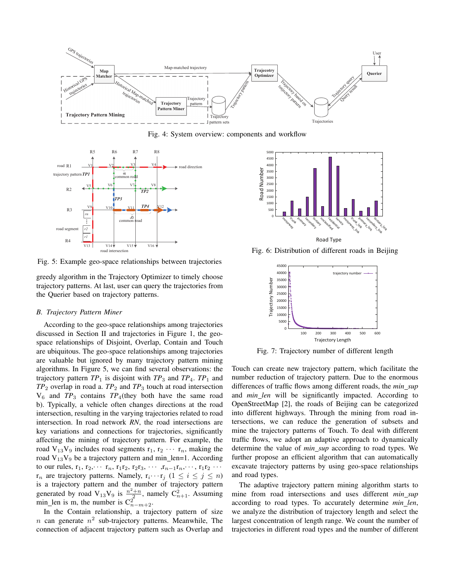

Fig. 4: System overview: components and workflow



Fig. 5: Example geo-space relationships between trajectories

greedy algorithm in the Trajectory Optimizer to timely choose trajectory patterns. At last, user can query the trajectories from the Querier based on trajectory patterns.

#### *B. Trajectory Pattern Miner*

According to the geo-space relationships among trajectories discussed in Section II and trajectories in Figure 1, the geospace relationships of Disjoint, Overlap, Contain and Touch are ubiquitous. The geo-space relationships among trajectories are valuable but ignored by many trajectory pattern mining algorithms. In Figure 5, we can find several observations: the trajectory pattern  $TP_1$  is disjoint with  $TP_3$  and  $TP_4$ .  $TP_1$  and *TP*<sup>2</sup> overlap in road a. *TP*<sup>2</sup> and *TP*<sup>3</sup> touch at road intersection  $V_6$  and  $TP_3$  contains  $TP_4$ (they both have the same road b). Typically, a vehicle often changes directions at the road intersection, resulting in the varying trajectories related to road intersection. In road network *RN*, the road intersections are key variations and connections for trajectories, significantly affecting the mining of trajectory pattern. For example, the road  $V_{13}V_9$  includes road segments  $r_1, r_2 \cdots r_n$ , making the road  $V_{13}V_9$  be a trajectory pattern and min\_len=1. According to our rules,  $r_1, r_2, \cdots r_n, r_1r_2, r_2r_3, \cdots, r_{n-1}r_n, \cdots, r_1r_2 \cdots$  $r_n$  are trajectory patterns. Namely,  $r_i \cdots r_j$   $(1 \le i \le j \le n)$ is a trajectory pattern and the number of trajectory pattern generated by road V<sub>13</sub>V<sub>9</sub> is  $\frac{n^2+n}{2}$ , namely C<sub>n<sup>+1</sup></sub>. Assuming min\_len is m, the number is  $C_{n-m+2}^2$ .

In the Contain relationship, a trajectory pattern of size n can generate  $n^2$  sub-trajectory patterns. Meanwhile, The connection of adjacent trajectory pattern such as Overlap and



Fig. 6: Distribution of different roads in Beijing



Fig. 7: Trajectory number of different length

Touch can create new trajectory pattern, which facilitate the number reduction of trajectory pattern. Due to the enormous differences of traffic flows among different roads, the *min sup* and *min len* will be significantly impacted. According to OpenStreetMap [2], the roads of Beijing can be categorized into different highways. Through the mining from road intersections, we can reduce the generation of subsets and mine the trajectory patterns of Touch. To deal with different traffic flows, we adopt an adaptive approach to dynamically determine the value of *min sup* according to road types. We further propose an efficient algorithm that can automatically excavate trajectory patterns by using geo-space relationships and road types.

The adaptive trajectory pattern mining algorithm starts to mine from road intersections and uses different *min sup* according to road types. To accurately determine *min len*, we analyze the distribution of trajectory length and select the largest concentration of length range. We count the number of trajectories in different road types and the number of different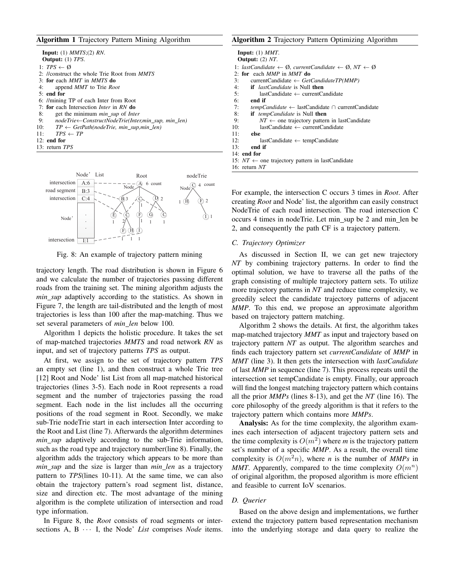#### Algorithm 1 Trajectory Pattern Mining Algorithm

Input: (1) *MMTS*;(2) *RN*. Output: (1) *TPS*. 1:  $TPS \leftarrow \emptyset$ 2: //construct the whole Trie Root from *MMTS* 3: for each *MMT* in *MMTS* do 4: append *MMT* to Trie *Root* 5: end for 6: //mining TP of each Inter from Root 7: for each Intersection *Inter* in *RN* do 8: get the minimum *min sup* of *Inter* 9: *nodeTrie*←*ConstructNodeTrie(Inter,min sup, min len)* 10:  $TP \leftarrow GetPath(nodeTri, min\_sup, min\_len)$  $11: TPS \leftarrow TP$ 12: end for 13: return *TPS*



Fig. 8: An example of trajectory pattern mining

trajectory length. The road distribution is shown in Figure 6 and we calculate the number of trajectories passing different roads from the training set. The mining algorithm adjusts the *min sup* adaptively according to the statistics. As shown in Figure 7, the length are tail-distributed and the length of most trajectories is less than 100 after the map-matching. Thus we set several parameters of *min len* below 100.

Algorithm 1 depicts the holistic procedure. It takes the set of map-matched trajectories *MMTS* and road network *RN* as input, and set of trajectory patterns *TPS* as output.

At first, we assign to the set of trajectory pattern *TPS* an empty set (line 1), and then construct a whole Trie tree [12] Root and Node' list List from all map-matched historical trajectories (lines 3-5). Each node in Root represents a road segment and the number of trajectories passing the road segment. Each node in the list includes all the occurring positions of the road segment in Root. Secondly, we make sub-Trie nodeTrie start in each intersection Inter according to the Root and List (line 7). Afterwards the algorithm determines *min sup* adaptively according to the sub-Trie information, such as the road type and trajectory number(line 8). Finally, the algorithm adds the trajectory which appears to be more than *min sup* and the size is larger than *min len* as a trajectory pattern to *TPS*(lines 10-11). At the same time, we can also obtain the trajectory pattern's road segment list, distance, size and direction etc. The most advantage of the mining algorithm is the complete utilization of intersection and road type information.

In Figure 8, the *Root* consists of road segments or intersections A, B · · · I, the Node' *List* comprises *Node* items.

#### Algorithm 2 Trajectory Pattern Optimizing Algorithm

| <b>Input:</b> $(1)$ <i>MMT</i> .<br><b>Output:</b> $(2)$ NT. |                                                                                                               |  |
|--------------------------------------------------------------|---------------------------------------------------------------------------------------------------------------|--|
|                                                              | 1: lastCandidate $\leftarrow \emptyset$ , currentCandidate $\leftarrow \emptyset$ , NT $\leftarrow \emptyset$ |  |
|                                                              | 2: for each $MMP$ in $MMT$ do                                                                                 |  |
| 3:                                                           | currentCandidate $\leftarrow$ GetCandidateTP(MMP)                                                             |  |
| 4:                                                           | <b>if</b> <i>lastCandidate</i> is Null <b>then</b>                                                            |  |
| 5:                                                           | $lastC and idate \leftarrow currentC and idate$                                                               |  |
| 6:                                                           | end if                                                                                                        |  |
| 7:                                                           | $tempC and idate \leftarrow$ lastCandidate $\cap$ currentCandidate                                            |  |
| 8:                                                           | <b>if</b> <i>tempCandidate</i> is Null <b>then</b>                                                            |  |
| 9:                                                           | $NT \leftarrow$ one trajectory pattern in lastCandidate                                                       |  |
| 10:                                                          | $lastC and idate \leftarrow currentC and idate$                                                               |  |
| 11:                                                          | else                                                                                                          |  |
| 12:                                                          | $lastC and \leftarrow tempC and \leftarrow$                                                                   |  |
| 13:                                                          | end if                                                                                                        |  |
|                                                              | $14:$ end for                                                                                                 |  |
|                                                              | 15: $NT \leftarrow$ one trajectory pattern in lastCandidate                                                   |  |
|                                                              | 16: return $NT$                                                                                               |  |

For example, the intersection C occurs 3 times in *Root*. After creating *Root* and Node' list, the algorithm can easily construct NodeTrie of each road intersection. The road intersection C occurs 4 times in nodeTrie. Let min sup be 2 and min len be 2, and consequently the path CF is a trajectory pattern.

#### *C. Trajectory Optimizer*

As discussed in Section II, we can get new trajectory *NT* by combining trajectory patterns. In order to find the optimal solution, we have to traverse all the paths of the graph consisting of multiple trajectory pattern sets. To utilize more trajectory patterns in *NT* and reduce time complexity, we greedily select the candidate trajectory patterns of adjacent *MMP*. To this end, we propose an approximate algorithm based on trajectory pattern matching.

Algorithm 2 shows the details. At first, the algorithm takes map-matched trajectory *MMT* as input and trajectory based on trajectory pattern *NT* as output. The algorithm searches and finds each trajectory pattern set *currentCandidate* of *MMP* in *MMT* (line 3). It then gets the intersection with *lastCandidate* of last *MMP* in sequence (line 7). This process repeats until the intersection set tempCandidate is empty. Finally, our approach will find the longest matching trajectory pattern which contains all the prior *MMPs* (lines 8-13), and get the *NT* (line 16). The core philosophy of the greedy algorithm is that it refers to the trajectory pattern which contains more *MMPs*.

Analysis: As for the time complexity, the algorithm examines each intersection of adjacent trajectory pattern sets and the time complexity is  $O(m^2)$  where *m* is the trajectory pattern set's number of a specific *MMP*. As a result, the overall time complexity is  $O(m^2n)$ , where *n* is the number of *MMPs* in *MMT*. Apparently, compared to the time complexity  $O(m^n)$ of original algorithm, the proposed algorithm is more efficient and feasible to current IoV scenarios.

#### *D. Querier*

Based on the above design and implementations, we further extend the trajectory pattern based representation mechanism into the underlying storage and data query to realize the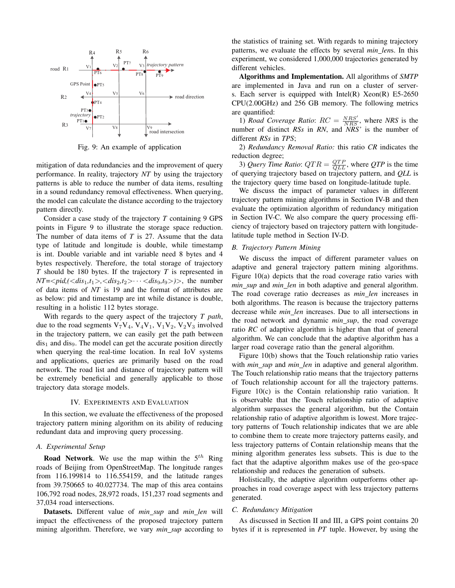

Fig. 9: An example of application

mitigation of data redundancies and the improvement of query performance. In reality, trajectory *NT* by using the trajectory patterns is able to reduce the number of data items, resulting in a sound redundancy removal effectiveness. When querying, the model can calculate the distance according to the trajectory pattern directly.

Consider a case study of the trajectory *T* containing 9 GPS points in Figure 9 to illustrate the storage space reduction. The number of data items of *T* is 27. Assume that the data type of latitude and longitude is double, while timestamp is int. Double variable and int variable need 8 bytes and 4 bytes respectively. Therefore, the total storage of trajectory *T* should be 180 bytes. If the trajectory *T* is represented in  $NT = \{pid, (\langle dis_1, t_1 \rangle, \langle dis_2, t_2 \rangle) \cdot \cdot \cdot \langle dis_9, t_9 \rangle) \}$ , the number of data items of *NT* is 19 and the format of attributes are as below: pid and timestamp are int while distance is double, resulting in a holistic 112 bytes storage.

With regards to the query aspect of the trajectory *T path*, due to the road segments  $V_7V_4$ ,  $V_4V_1$ ,  $V_1V_2$ ,  $V_2V_3$  involved in the trajectory pattern, we can easily get the path between  $dis<sub>1</sub>$  and dis<sub>9</sub>. The model can get the accurate position directly when querying the real-time location. In real IoV systems and applications, queries are primarily based on the road network. The road list and distance of trajectory pattern will be extremely beneficial and generally applicable to those trajectory data storage models.

#### IV. EXPERIMENTS AND EVALUATION

In this section, we evaluate the effectiveness of the proposed trajectory pattern mining algorithm on its ability of reducing redundant data and improving query processing.

#### *A. Experimental Setup*

**Road Network.** We use the map within the  $5<sup>th</sup>$  Ring roads of Beijing from OpenStreetMap. The longitude ranges from 116.199814 to 116.554159, and the latitude ranges from 39.750665 to 40.027734. The map of this area contains 106,792 road nodes, 28,972 roads, 151,237 road segments and 37,034 road intersections.

Datasets. Different value of *min sup* and *min len* will impact the effectiveness of the proposed trajectory pattern mining algorithm. Therefore, we vary *min sup* according to the statistics of training set. With regards to mining trajectory patterns, we evaluate the effects by several *min len*s. In this experiment, we considered 1,000,000 trajectories generated by different vehicles.

Algorithms and Implementation. All algorithms of *SMTP* are implemented in Java and run on a cluster of servers. Each server is equipped with Intel(R) Xeon(R) E5-2650 CPU(2.00GHz) and 256 GB memory. The following metrics are quantified:

1) *Road Coverage Ratio:*  $RC = \frac{NRS'}{NRS}$ , where *NRS* is the number of distinct *RSs* in *RN*, and *NRS'* is the number of different *RSs* in *TPS*;

2) *Redundancy Removal Ratio:* this ratio *CR* indicates the reduction degree;

3) *Query Time Ratio:*  $QTR = \frac{QTP}{QLL}$ , where *QTP* is the time of querying trajectory based on trajectory pattern, and *QLL* is the trajectory query time based on longitude-latitude tuple.

We discuss the impact of parameter values in different trajectory pattern mining algorithms in Section IV-B and then evaluate the optimization algorithm of redundancy mitigation in Section IV-C. We also compare the query processing efficiency of trajectory based on trajectory pattern with longitudelatitude tuple method in Section IV-D.

#### *B. Trajectory Pattern Mining*

We discuss the impact of different parameter values on adaptive and general trajectory pattern mining algorithms. Figure 10(a) depicts that the road coverage ratio varies with *min sup* and *min len* in both adaptive and general algorithm. The road coverage ratio decreases as *min len* increases in both algorithms. The reason is because the trajectory patterns decrease while *min len* increases. Due to all intersections in the road network and dynamic *min sup*, the road coverage ratio *RC* of adaptive algorithm is higher than that of general algorithm. We can conclude that the adaptive algorithm has a larger road coverage ratio than the general algorithm.

Figure 10(b) shows that the Touch relationship ratio varies with *min sup* and *min len* in adaptive and general algorithm. The Touch relationship ratio means that the trajectory patterns of Touch relationship account for all the trajectory patterns. Figure 10(c) is the Contain relationship ratio variation. It is observable that the Touch relationship ratio of adaptive algorithm surpasses the general algorithm, but the Contain relationship ratio of adaptive algorithm is lowest. More trajectory patterns of Touch relationship indicates that we are able to combine them to create more trajectory patterns easily, and less trajectory patterns of Contain relationship means that the mining algorithm generates less subsets. This is due to the fact that the adaptive algorithm makes use of the geo-space relationship and reduces the generation of subsets.

Holistically, the adaptive algorithm outperforms other approaches in road coverage aspect with less trajectory patterns generated.

#### *C. Redundancy Mitigation*

As discussed in Section II and III, a GPS point contains 20 bytes if it is represented in *PT* tuple. However, by using the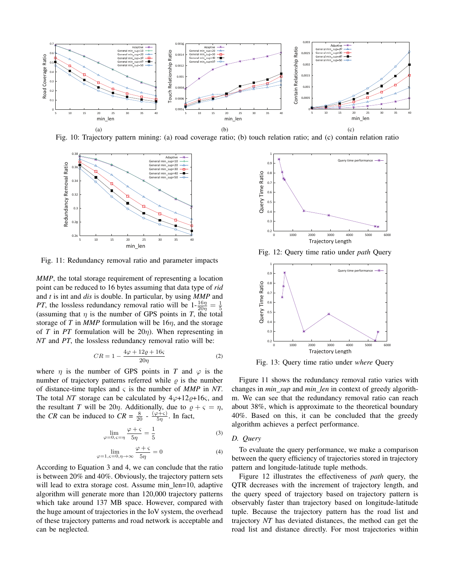

Fig. 10: Trajectory pattern mining: (a) road coverage ratio; (b) touch relation ratio; and (c) contain relation ratio



Fig. 11: Redundancy removal ratio and parameter impacts

*MMP*, the total storage requirement of representing a location point can be reduced to 16 bytes assuming that data type of *rid* and *t* is int and *dis* is double. In particular, by using *MMP* and *PT*, the lossless redundancy removal ratio will be  $1-\frac{16\eta}{20\eta} = \frac{1}{5}$ (assuming that  $\eta$  is the number of GPS points in *T*, the total storage of *T* in *MMP* formulation will be 16η, and the storage of *T* in *PT* formulation will be 20η). When representing in *NT* and *PT*, the lossless redundancy removal ratio will be:

$$
CR = 1 - \frac{4\varphi + 12\varrho + 16\varsigma}{20\eta} \tag{2}
$$

where  $\eta$  is the number of GPS points in *T* and  $\varphi$  is the number of trajectory patterns referred while  $\rho$  is the number of distance-time tuples and  $\varsigma$  is the number of *MMP* in *NT*. The total *NT* storage can be calculated by  $4\varphi + 12\varphi + 16\varsigma$ , and the resultant *T* will be 20η. Additionally, due to  $\rho + \varsigma = \eta$ , the *CR* can be induced to  $CR = \frac{8}{20} - \frac{(\varphi + \varsigma)}{5\eta}$  $\frac{5\eta}{5\eta}$ . In fact,

$$
\lim_{\varphi=0,\varsigma=\eta}\frac{\varphi+\varsigma}{5\eta}=\frac{1}{5}\tag{3}
$$

$$
\lim_{\varphi=1,\varsigma=0,\eta\to\infty}\frac{\varphi+\varsigma}{5\eta}=0\tag{4}
$$

According to Equation 3 and 4, we can conclude that the ratio is between 20% and 40%. Obviously, the trajectory pattern sets will lead to extra storage cost. Assume min\_len=10, adaptive algorithm will generate more than 120,000 trajectory patterns which take around 137 MB space. However, compared with the huge amount of trajectories in the IoV system, the overhead of these trajectory patterns and road network is acceptable and can be neglected.



Fig. 12: Query time ratio under *path* Query



Fig. 13: Query time ratio under *where* Query

Figure 11 shows the redundancy removal ratio varies with changes in *min sup* and *min len* in context of greedy algorithm. We can see that the redundancy removal ratio can reach about 38%, which is approximate to the theoretical boundary 40%. Based on this, it can be concluded that the greedy algorithm achieves a perfect performance.

#### *D. Query*

To evaluate the query performance, we make a comparison between the query efficiency of trajectories stored in trajectory pattern and longitude-latitude tuple methods.

Figure 12 illustrates the effectiveness of *path* query, the QTR decreases with the increment of trajectory length, and the query speed of trajectory based on trajectory pattern is observably faster than trajectory based on longitude-latitude tuple. Because the trajectory pattern has the road list and trajectory *NT* has deviated distances, the method can get the road list and distance directly. For most trajectories within